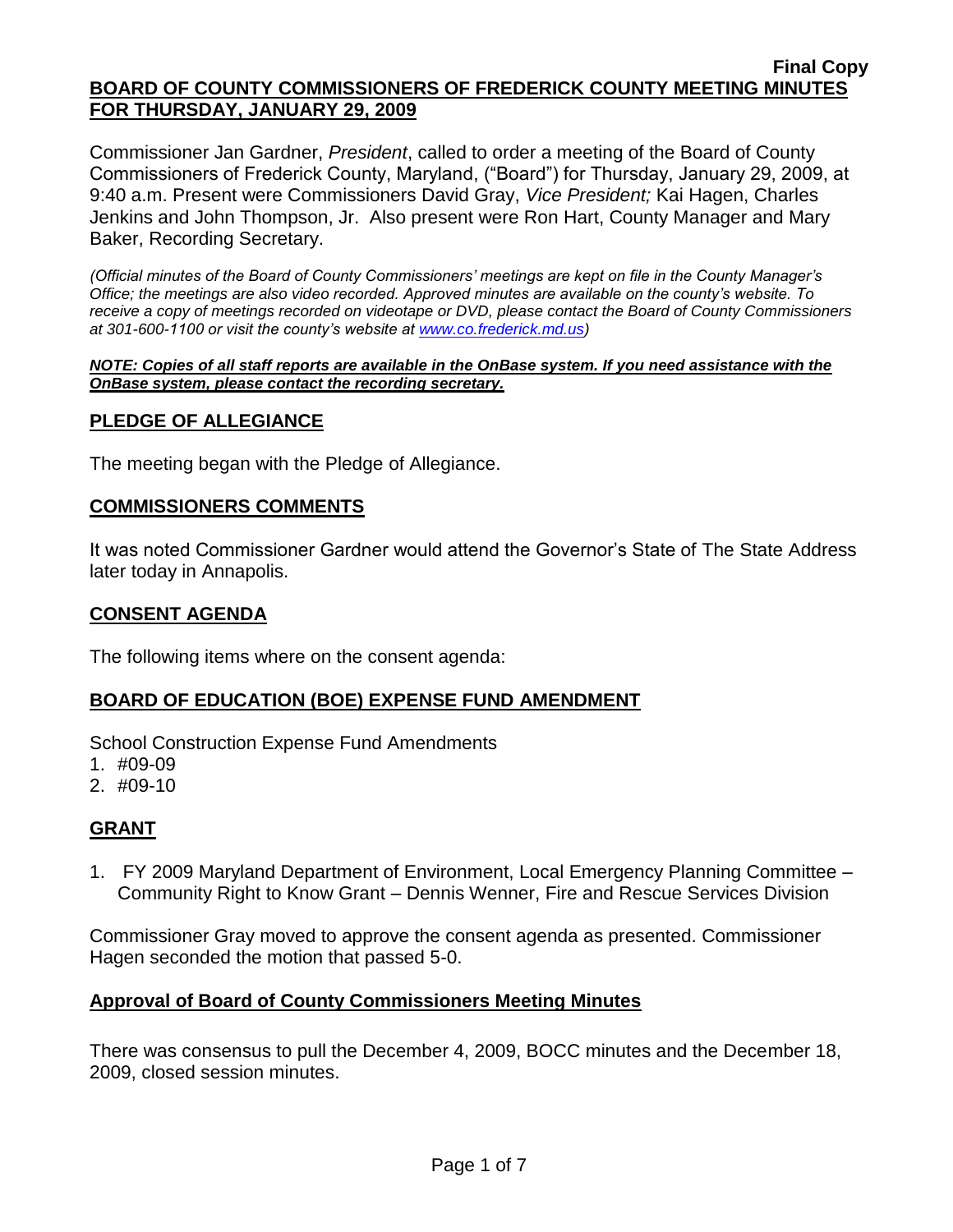Commissioner Jan Gardner, *President*, called to order a meeting of the Board of County Commissioners of Frederick County, Maryland, ("Board") for Thursday, January 29, 2009, at 9:40 a.m. Present were Commissioners David Gray, *Vice President;* Kai Hagen, Charles Jenkins and John Thompson, Jr. Also present were Ron Hart, County Manager and Mary Baker, Recording Secretary.

*(Official minutes of the Board of County Commissioners' meetings are kept on file in the County Manager's Office; the meetings are also video recorded. Approved minutes are available on the county's website. To receive a copy of meetings recorded on videotape or DVD, please contact the Board of County Commissioners at 301-600-1100 or visit the county's website at [www.co.frederick.md.us\)](http://www.co.frederick.md.us/)*

#### *NOTE: Copies of all staff reports are available in the OnBase system. If you need assistance with the OnBase system, please contact the recording secretary.*

# **PLEDGE OF ALLEGIANCE**

The meeting began with the Pledge of Allegiance.

## **COMMISSIONERS COMMENTS**

It was noted Commissioner Gardner would attend the Governor's State of The State Address later today in Annapolis.

## **CONSENT AGENDA**

The following items where on the consent agenda:

## **BOARD OF EDUCATION (BOE) EXPENSE FUND AMENDMENT**

School Construction Expense Fund Amendments

- 1. #09-09
- 2. #09-10

# **GRANT**

1. FY 2009 Maryland Department of Environment, Local Emergency Planning Committee – Community Right to Know Grant – Dennis Wenner, Fire and Rescue Services Division

Commissioner Gray moved to approve the consent agenda as presented. Commissioner Hagen seconded the motion that passed 5-0.

## **Approval of Board of County Commissioners Meeting Minutes**

There was consensus to pull the December 4, 2009, BOCC minutes and the December 18, 2009, closed session minutes.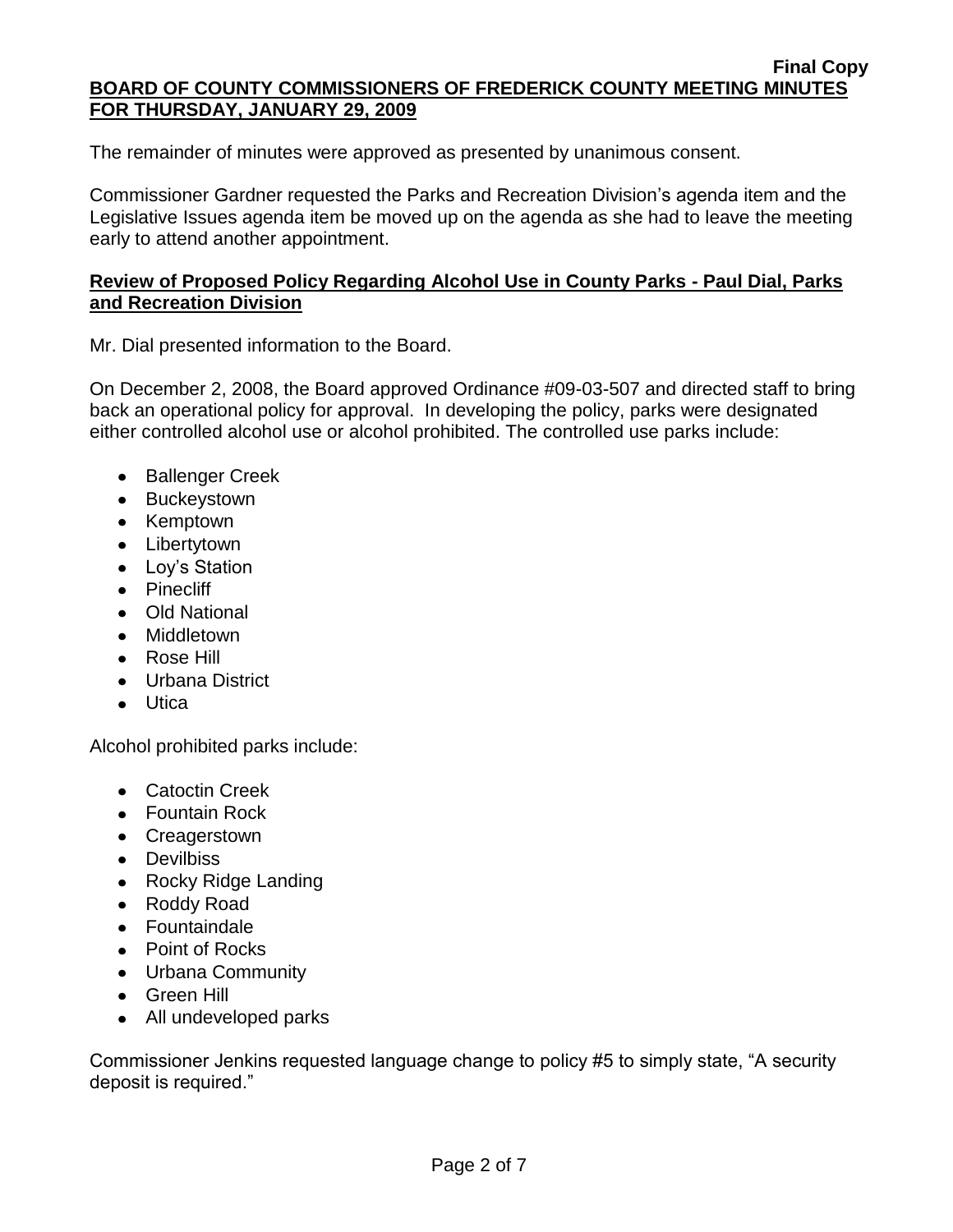The remainder of minutes were approved as presented by unanimous consent.

Commissioner Gardner requested the Parks and Recreation Division's agenda item and the Legislative Issues agenda item be moved up on the agenda as she had to leave the meeting early to attend another appointment.

## **Review of Proposed Policy Regarding Alcohol Use in County Parks - Paul Dial, Parks and Recreation Division**

Mr. Dial presented information to the Board.

On December 2, 2008, the Board approved Ordinance #09-03-507 and directed staff to bring back an operational policy for approval. In developing the policy, parks were designated either controlled alcohol use or alcohol prohibited. The controlled use parks include:

- Ballenger Creek
- Buckeystown
- Kemptown
- Libertytown
- Lov's Station
- Pinecliff
- Old National
- Middletown
- Rose Hill
- Urbana District
- Utica

Alcohol prohibited parks include:

- Catoctin Creek
- Fountain Rock
- Creagerstown
- Devilbiss
- Rocky Ridge Landing
- Roddy Road
- Fountaindale
- Point of Rocks
- Urbana Community
- Green Hill
- All undeveloped parks

Commissioner Jenkins requested language change to policy #5 to simply state, "A security deposit is required."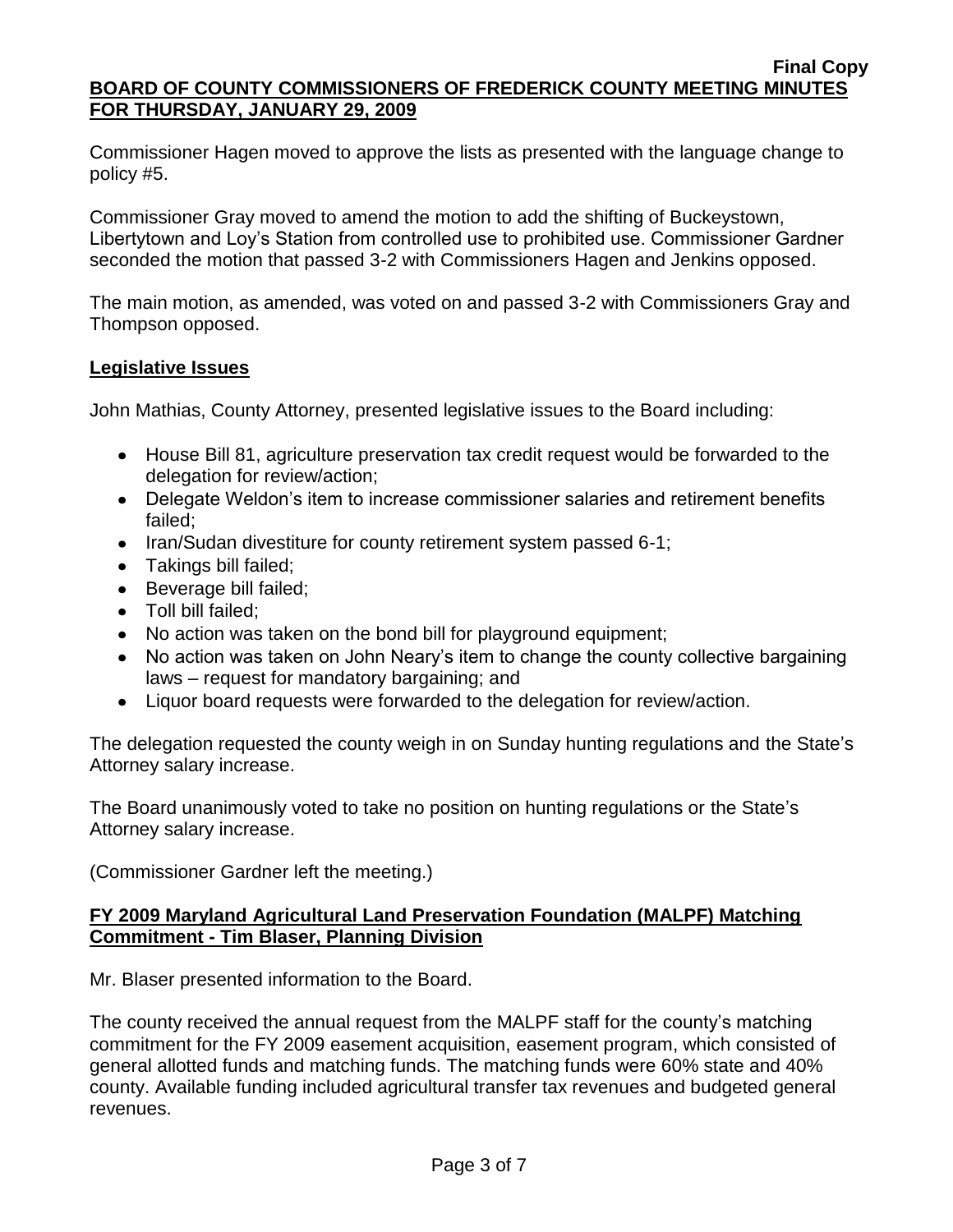Commissioner Hagen moved to approve the lists as presented with the language change to policy #5.

Commissioner Gray moved to amend the motion to add the shifting of Buckeystown, Libertytown and Loy's Station from controlled use to prohibited use. Commissioner Gardner seconded the motion that passed 3-2 with Commissioners Hagen and Jenkins opposed.

The main motion, as amended, was voted on and passed 3-2 with Commissioners Gray and Thompson opposed.

# **Legislative Issues**

John Mathias, County Attorney, presented legislative issues to the Board including:

- House Bill 81, agriculture preservation tax credit request would be forwarded to the delegation for review/action;
- Delegate Weldon's item to increase commissioner salaries and retirement benefits failed;
- Iran/Sudan divestiture for county retirement system passed 6-1;
- Takings bill failed;
- Beverage bill failed;
- Toll bill failed:
- No action was taken on the bond bill for playground equipment;
- No action was taken on John Neary's item to change the county collective bargaining laws – request for mandatory bargaining; and
- Liquor board requests were forwarded to the delegation for review/action.

The delegation requested the county weigh in on Sunday hunting regulations and the State's Attorney salary increase.

The Board unanimously voted to take no position on hunting regulations or the State's Attorney salary increase.

(Commissioner Gardner left the meeting.)

# **FY 2009 Maryland Agricultural Land Preservation Foundation (MALPF) Matching Commitment - Tim Blaser, Planning Division**

Mr. Blaser presented information to the Board.

The county received the annual request from the MALPF staff for the county's matching commitment for the FY 2009 easement acquisition, easement program, which consisted of general allotted funds and matching funds. The matching funds were 60% state and 40% county. Available funding included agricultural transfer tax revenues and budgeted general revenues.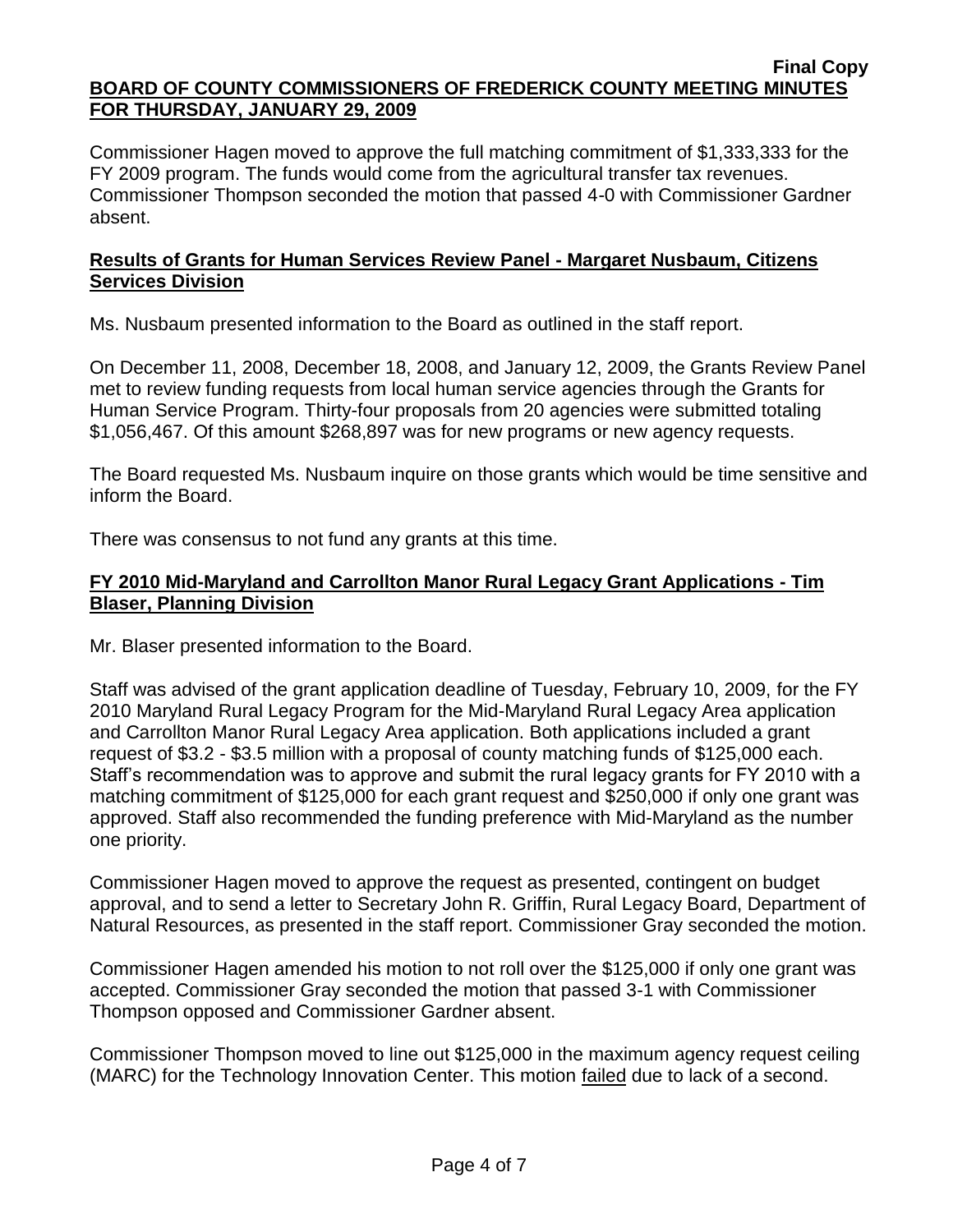Commissioner Hagen moved to approve the full matching commitment of \$1,333,333 for the FY 2009 program. The funds would come from the agricultural transfer tax revenues. Commissioner Thompson seconded the motion that passed 4-0 with Commissioner Gardner absent.

# **Results of Grants for Human Services Review Panel - Margaret Nusbaum, Citizens Services Division**

Ms. Nusbaum presented information to the Board as outlined in the staff report.

On December 11, 2008, December 18, 2008, and January 12, 2009, the Grants Review Panel met to review funding requests from local human service agencies through the Grants for Human Service Program. Thirty-four proposals from 20 agencies were submitted totaling \$1,056,467. Of this amount \$268,897 was for new programs or new agency requests.

The Board requested Ms. Nusbaum inquire on those grants which would be time sensitive and inform the Board.

There was consensus to not fund any grants at this time.

# **FY 2010 Mid-Maryland and Carrollton Manor Rural Legacy Grant Applications - Tim Blaser, Planning Division**

Mr. Blaser presented information to the Board.

Staff was advised of the grant application deadline of Tuesday, February 10, 2009, for the FY 2010 Maryland Rural Legacy Program for the Mid-Maryland Rural Legacy Area application and Carrollton Manor Rural Legacy Area application. Both applications included a grant request of \$3.2 - \$3.5 million with a proposal of county matching funds of \$125,000 each. Staff's recommendation was to approve and submit the rural legacy grants for FY 2010 with a matching commitment of \$125,000 for each grant request and \$250,000 if only one grant was approved. Staff also recommended the funding preference with Mid-Maryland as the number one priority.

Commissioner Hagen moved to approve the request as presented, contingent on budget approval, and to send a letter to Secretary John R. Griffin, Rural Legacy Board, Department of Natural Resources, as presented in the staff report. Commissioner Gray seconded the motion.

Commissioner Hagen amended his motion to not roll over the \$125,000 if only one grant was accepted. Commissioner Gray seconded the motion that passed 3-1 with Commissioner Thompson opposed and Commissioner Gardner absent.

Commissioner Thompson moved to line out \$125,000 in the maximum agency request ceiling (MARC) for the Technology Innovation Center. This motion failed due to lack of a second.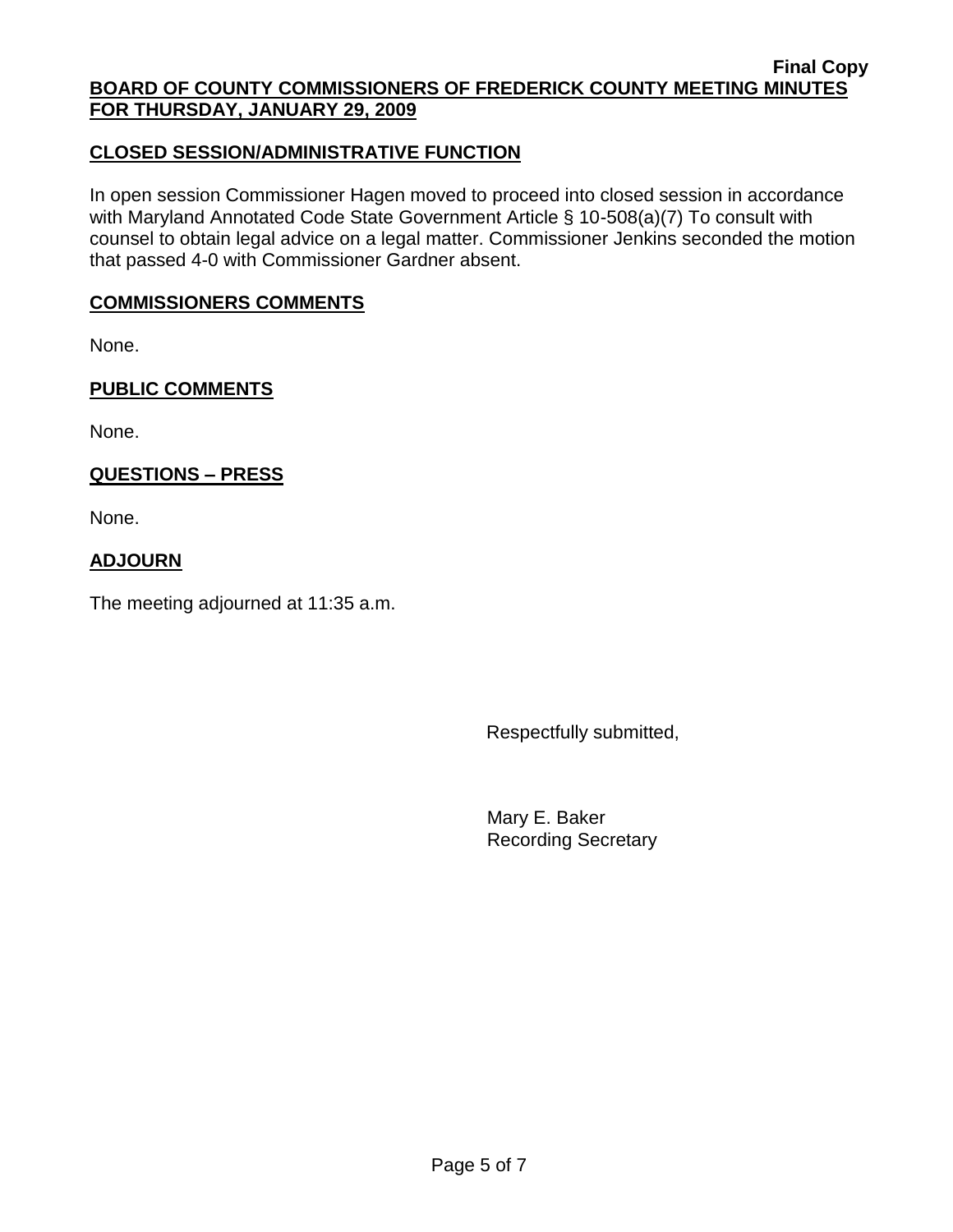# **CLOSED SESSION/ADMINISTRATIVE FUNCTION**

In open session Commissioner Hagen moved to proceed into closed session in accordance with Maryland Annotated Code State Government Article § 10-508(a)(7) To consult with counsel to obtain legal advice on a legal matter. Commissioner Jenkins seconded the motion that passed 4-0 with Commissioner Gardner absent.

### **COMMISSIONERS COMMENTS**

None.

## **PUBLIC COMMENTS**

None.

# **QUESTIONS – PRESS**

None.

## **ADJOURN**

The meeting adjourned at 11:35 a.m.

Respectfully submitted,

Mary E. Baker Recording Secretary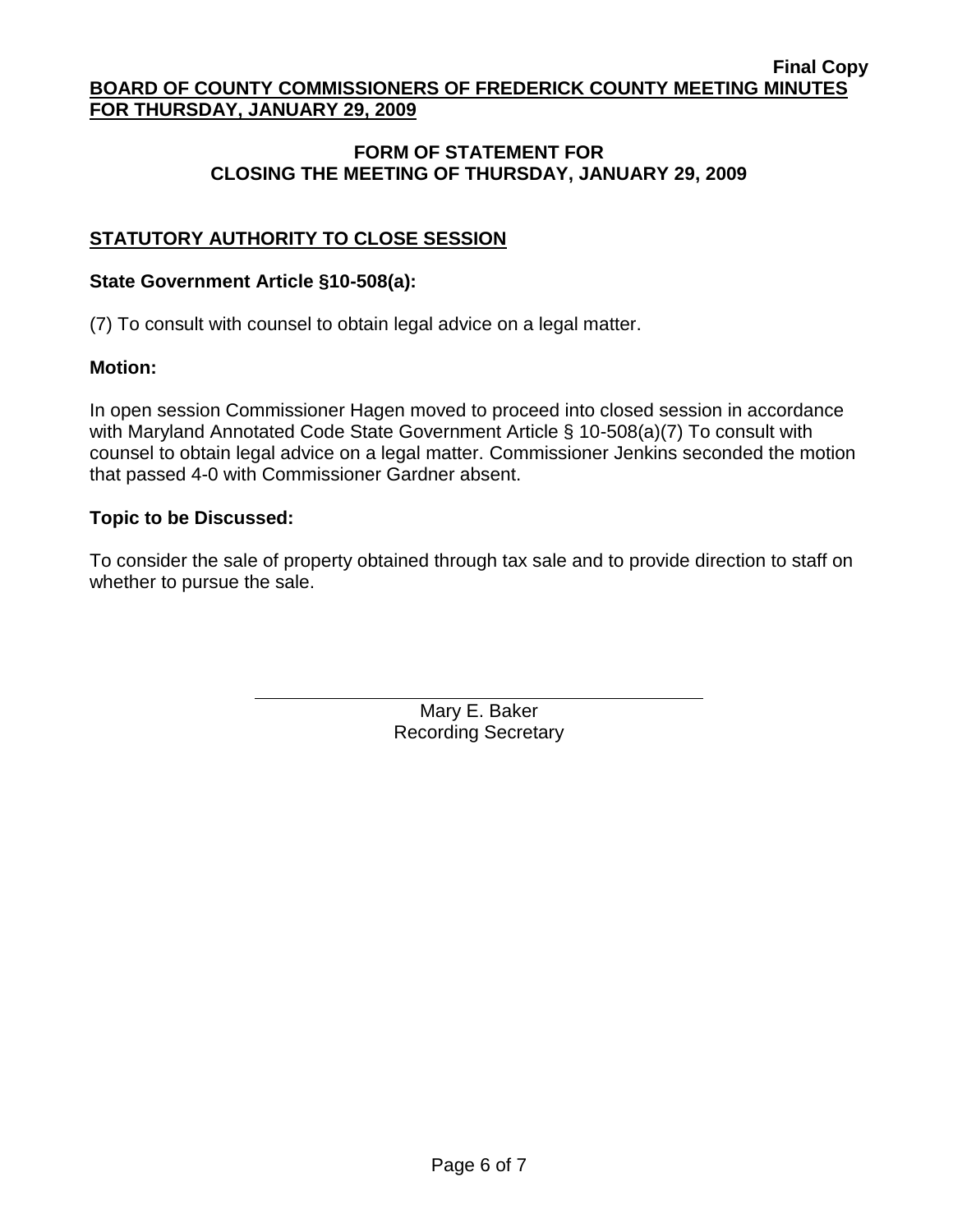# **FORM OF STATEMENT FOR CLOSING THE MEETING OF THURSDAY, JANUARY 29, 2009**

# **STATUTORY AUTHORITY TO CLOSE SESSION**

### **State Government Article §10-508(a):**

(7) To consult with counsel to obtain legal advice on a legal matter.

### **Motion:**

In open session Commissioner Hagen moved to proceed into closed session in accordance with Maryland Annotated Code State Government Article § 10-508(a)(7) To consult with counsel to obtain legal advice on a legal matter. Commissioner Jenkins seconded the motion that passed 4-0 with Commissioner Gardner absent.

### **Topic to be Discussed:**

To consider the sale of property obtained through tax sale and to provide direction to staff on whether to pursue the sale.

> Mary E. Baker Recording Secretary